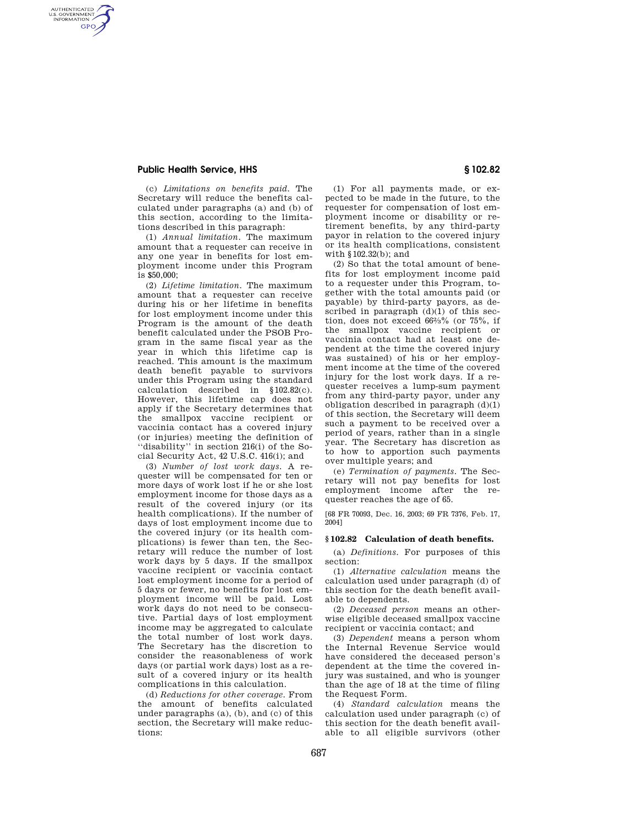# **Public Health Service, HHS § 102.82**

AUTHENTICATED<br>U.S. GOVERNMENT<br>INFORMATION **GPO** 

> (c) *Limitations on benefits paid.* The Secretary will reduce the benefits calculated under paragraphs (a) and (b) of this section, according to the limitations described in this paragraph:

> (1) *Annual limitation.* The maximum amount that a requester can receive in any one year in benefits for lost employment income under this Program is \$50,000;

(2) *Lifetime limitation.* The maximum amount that a requester can receive during his or her lifetime in benefits for lost employment income under this Program is the amount of the death benefit calculated under the PSOB Program in the same fiscal year as the year in which this lifetime cap is reached. This amount is the maximum death benefit payable to survivors under this Program using the standard calculation described in §102.82(c). However, this lifetime cap does not apply if the Secretary determines that the smallpox vaccine recipient or vaccinia contact has a covered injury (or injuries) meeting the definition of ''disability'' in section 216(i) of the Social Security Act, 42 U.S.C. 416(i); and

(3) *Number of lost work days.* A requester will be compensated for ten or more days of work lost if he or she lost employment income for those days as a result of the covered injury (or its health complications). If the number of days of lost employment income due to the covered injury (or its health complications) is fewer than ten, the Secretary will reduce the number of lost work days by 5 days. If the smallpox vaccine recipient or vaccinia contact lost employment income for a period of 5 days or fewer, no benefits for lost employment income will be paid. Lost work days do not need to be consecutive. Partial days of lost employment income may be aggregated to calculate the total number of lost work days. The Secretary has the discretion to consider the reasonableness of work days (or partial work days) lost as a result of a covered injury or its health complications in this calculation.

(d) *Reductions for other coverage.* From the amount of benefits calculated under paragraphs (a), (b), and (c) of this section, the Secretary will make reductions:

(1) For all payments made, or expected to be made in the future, to the requester for compensation of lost employment income or disability or retirement benefits, by any third-party payor in relation to the covered injury or its health complications, consistent with §102.32(b); and

(2) So that the total amount of benefits for lost employment income paid to a requester under this Program, together with the total amounts paid (or payable) by third-party payors, as described in paragraph  $(d)(1)$  of this section, does not exceed 662⁄3% (or 75%, if the smallpox vaccine recipient or vaccinia contact had at least one dependent at the time the covered injury was sustained) of his or her employment income at the time of the covered injury for the lost work days. If a requester receives a lump-sum payment from any third-party payor, under any obligation described in paragraph (d)(1) of this section, the Secretary will deem such a payment to be received over a period of years, rather than in a single year. The Secretary has discretion as to how to apportion such payments over multiple years; and

(e) *Termination of payments.* The Secretary will not pay benefits for lost employment income after the requester reaches the age of 65.

[68 FR 70093, Dec. 16, 2003; 69 FR 7376, Feb. 17, 2004]

### **§ 102.82 Calculation of death benefits.**

(a) *Definitions.* For purposes of this section:

(1) *Alternative calculation* means the calculation used under paragraph (d) of this section for the death benefit available to dependents.

(2) *Deceased person* means an otherwise eligible deceased smallpox vaccine recipient or vaccinia contact; and

(3) *Dependent* means a person whom the Internal Revenue Service would have considered the deceased person's dependent at the time the covered injury was sustained, and who is younger than the age of 18 at the time of filing the Request Form.

(4) *Standard calculation* means the calculation used under paragraph (c) of this section for the death benefit available to all eligible survivors (other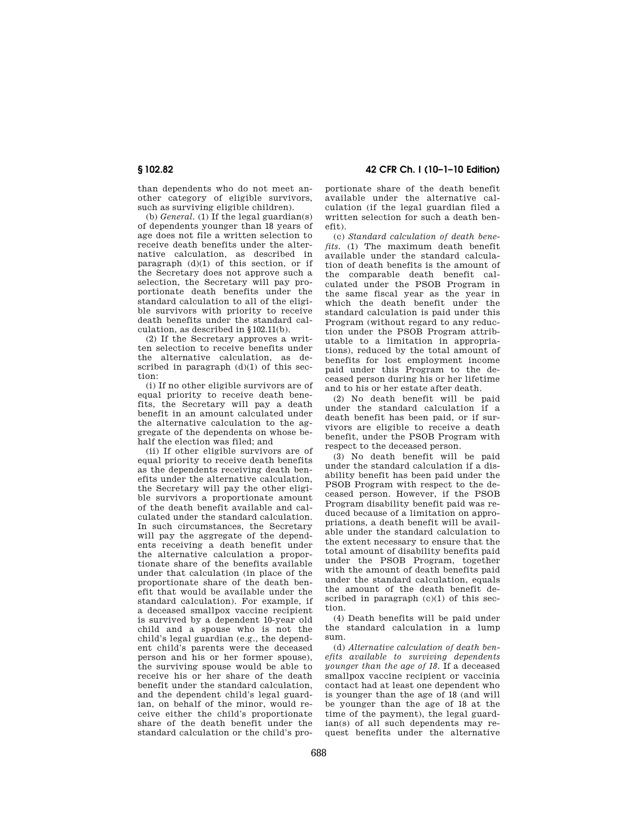than dependents who do not meet another category of eligible survivors, such as surviving eligible children).

(b) *General.* (1) If the legal guardian(s) of dependents younger than 18 years of age does not file a written selection to receive death benefits under the alternative calculation, as described in paragraph  $(d)(1)$  of this section, or if the Secretary does not approve such a selection, the Secretary will pay proportionate death benefits under the standard calculation to all of the eligible survivors with priority to receive death benefits under the standard calculation, as described in §102.11(b).

(2) If the Secretary approves a written selection to receive benefits under the alternative calculation, as described in paragraph  $(d)(1)$  of this section:

(i) If no other eligible survivors are of equal priority to receive death benefits, the Secretary will pay a death benefit in an amount calculated under the alternative calculation to the aggregate of the dependents on whose behalf the election was filed; and

(ii) If other eligible survivors are of equal priority to receive death benefits as the dependents receiving death benefits under the alternative calculation, the Secretary will pay the other eligible survivors a proportionate amount of the death benefit available and calculated under the standard calculation. In such circumstances, the Secretary will pay the aggregate of the dependents receiving a death benefit under the alternative calculation a proportionate share of the benefits available under that calculation (in place of the proportionate share of the death benefit that would be available under the standard calculation). For example, if a deceased smallpox vaccine recipient is survived by a dependent 10-year old child and a spouse who is not the child's legal guardian (e.g., the dependent child's parents were the deceased person and his or her former spouse), the surviving spouse would be able to receive his or her share of the death benefit under the standard calculation, and the dependent child's legal guardian, on behalf of the minor, would receive either the child's proportionate share of the death benefit under the standard calculation or the child's pro-

**§ 102.82 42 CFR Ch. I (10–1–10 Edition)** 

portionate share of the death benefit available under the alternative calculation (if the legal guardian filed a written selection for such a death benefit).

(c) *Standard calculation of death benefits.* (1) The maximum death benefit available under the standard calculation of death benefits is the amount of the comparable death benefit calculated under the PSOB Program in the same fiscal year as the year in which the death benefit under the standard calculation is paid under this Program (without regard to any reduction under the PSOB Program attributable to a limitation in appropriations), reduced by the total amount of benefits for lost employment income paid under this Program to the deceased person during his or her lifetime and to his or her estate after death.

(2) No death benefit will be paid under the standard calculation if a death benefit has been paid, or if survivors are eligible to receive a death benefit, under the PSOB Program with respect to the deceased person.

(3) No death benefit will be paid under the standard calculation if a disability benefit has been paid under the PSOB Program with respect to the deceased person. However, if the PSOB Program disability benefit paid was reduced because of a limitation on appropriations, a death benefit will be available under the standard calculation to the extent necessary to ensure that the total amount of disability benefits paid under the PSOB Program, together with the amount of death benefits paid under the standard calculation, equals the amount of the death benefit described in paragraph  $(c)(1)$  of this section.

(4) Death benefits will be paid under the standard calculation in a lump sum.

(d) *Alternative calculation of death benefits available to surviving dependents younger than the age of 18.* If a deceased smallpox vaccine recipient or vaccinia contact had at least one dependent who is younger than the age of 18 (and will be younger than the age of 18 at the time of the payment), the legal guardian(s) of all such dependents may request benefits under the alternative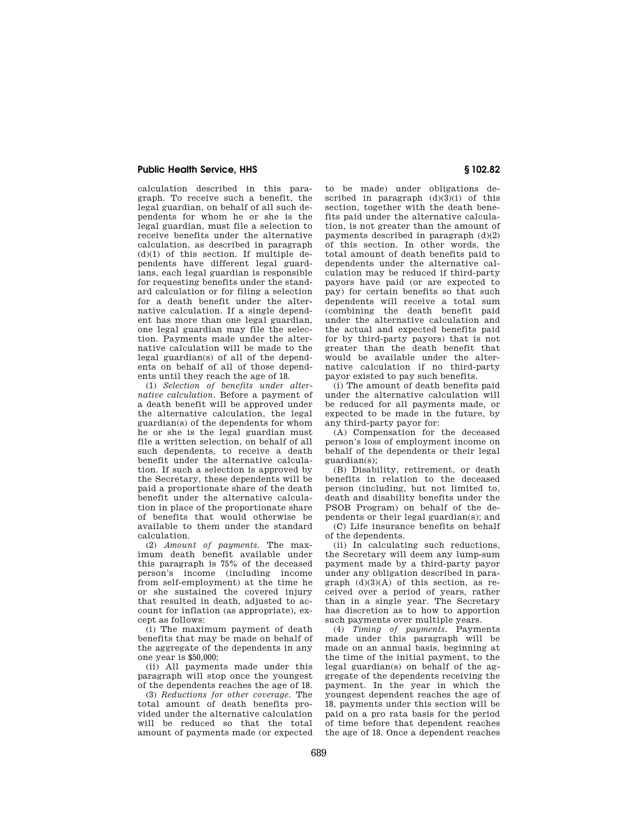## **Public Health Service, HHS § 102.82**

calculation described in this paragraph. To receive such a benefit, the legal guardian, on behalf of all such dependents for whom he or she is the legal guardian, must file a selection to receive benefits under the alternative calculation, as described in paragraph  $(d)(1)$  of this section. If multiple dependents have different legal guardians, each legal guardian is responsible for requesting benefits under the standard calculation or for filing a selection for a death benefit under the alternative calculation. If a single dependent has more than one legal guardian, one legal guardian may file the selection. Payments made under the alternative calculation will be made to the legal guardian(s) of all of the dependents on behalf of all of those dependents until they reach the age of 18.

(1) *Selection of benefits under alternative calculation.* Before a payment of a death benefit will be approved under the alternative calculation, the legal guardian(s) of the dependents for whom he or she is the legal guardian must file a written selection, on behalf of all such dependents, to receive a death benefit under the alternative calculation. If such a selection is approved by the Secretary, these dependents will be paid a proportionate share of the death benefit under the alternative calculation in place of the proportionate share of benefits that would otherwise be available to them under the standard calculation.

(2) *Amount of payments.* The maximum death benefit available under this paragraph is 75% of the deceased person's income (including income from self-employment) at the time he or she sustained the covered injury that resulted in death, adjusted to account for inflation (as appropriate), except as follows:

(i) The maximum payment of death benefits that may be made on behalf of the aggregate of the dependents in any one year is \$50,000;

(ii) All payments made under this paragraph will stop once the youngest of the dependents reaches the age of 18.

(3) *Reductions for other coverage.* The total amount of death benefits provided under the alternative calculation will be reduced so that the total amount of payments made (or expected

to be made) under obligations described in paragraph  $(d)(3)(i)$  of this section, together with the death benefits paid under the alternative calculation, is not greater than the amount of payments described in paragraph (d)(2) of this section. In other words, the total amount of death benefits paid to dependents under the alternative calculation may be reduced if third-party payors have paid (or are expected to pay) for certain benefits so that such dependents will receive a total sum (combining the death benefit paid under the alternative calculation and the actual and expected benefits paid for by third-party payors) that is not greater than the death benefit that would be available under the alternative calculation if no third-party payor existed to pay such benefits.

(i) The amount of death benefits paid under the alternative calculation will be reduced for all payments made, or expected to be made in the future, by any third-party payor for:

(A) Compensation for the deceased person's loss of employment income on behalf of the dependents or their legal guardian(s);

(B) Disability, retirement, or death benefits in relation to the deceased person (including, but not limited to, death and disability benefits under the PSOB Program) on behalf of the dependents or their legal guardian(s); and

(C) Life insurance benefits on behalf of the dependents.

(ii) In calculating such reductions, the Secretary will deem any lump-sum payment made by a third-party payor under any obligation described in paragraph  $(d)(3)(A)$  of this section, as received over a period of years, rather than in a single year. The Secretary has discretion as to how to apportion such payments over multiple years.

(4) *Timing of payments.* Payments made under this paragraph will be made on an annual basis, beginning at the time of the initial payment, to the legal guardian(s) on behalf of the aggregate of the dependents receiving the payment. In the year in which the youngest dependent reaches the age of 18, payments under this section will be paid on a pro rata basis for the period of time before that dependent reaches the age of 18. Once a dependent reaches